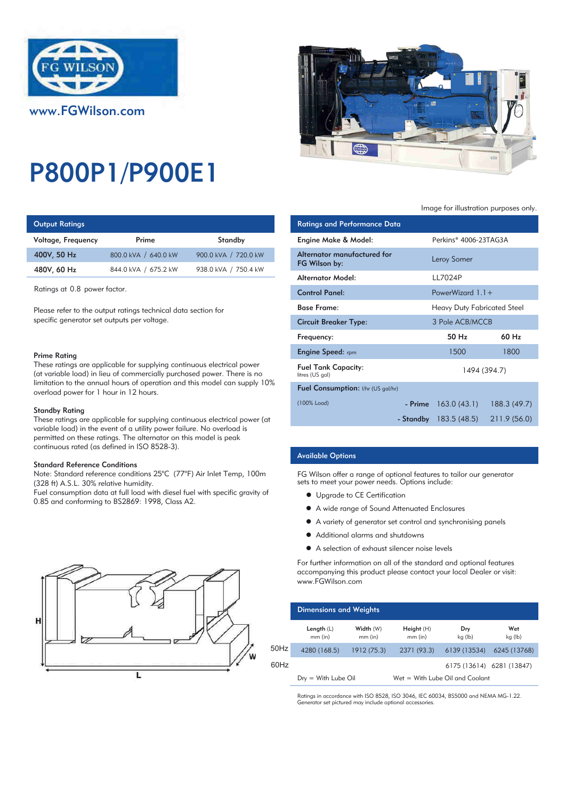

# P800P1/P900E1

## **Output Ratings**

| Voltage, Frequency | Prime                | Standby              | Engine Make & Model:                            |
|--------------------|----------------------|----------------------|-------------------------------------------------|
| 400V, 50 Hz        | 800.0 kVA / 640.0 kW | 900.0 kVA / 720.0 kW | Alternator manufacture                          |
| 480V, 60 Hz        | 844.0 kVA / 675.2 kW | 938.0 kVA / 750.4 kW | FG Wilson by:<br>A la superior A A substitution |

Ratings at 0.8 power factor.

Please refer to the output ratings technical data section for specific generator set outputs per voltage.

#### Prime Rating

These ratings are applicable for supplying continuous electrical power (at variable load) in lieu of commercially purchased power. There is no limitation to the annual hours of operation and this model can supply 10% overload power for 1 hour in 12 hours.

#### Standby Rating

These ratings are applicable for supplying continuous electrical power (at variable load) in the event of a utility power failure. No overload is permitted on these ratings. The alternator on this model is peak continuous rated (as defined in ISO 8528-3).

#### Standard Reference Conditions

Note: Standard reference conditions 25°C (77°F) Air Inlet Temp, 100m (328 ft) A.S.L. 30% relative humidity.

Fuel consumption data at full load with diesel fuel with specific gravity of 0.85 and conforming to BS2869: 1998, Class A2.





#### Image for illustration purposes only.

| <b>Ratings and Performance Data</b>           |                                    |              |
|-----------------------------------------------|------------------------------------|--------------|
| Engine Make & Model:                          | Perkins® 4006-23TAG3A              |              |
| Alternator manufactured for<br>FG Wilson by:  | Leroy Somer                        |              |
| Alternator Model:                             | 117024P                            |              |
| Control Panel:                                | PowerWizard $1.1+$                 |              |
| <b>Base Frame:</b>                            | <b>Heavy Duty Fabricated Steel</b> |              |
| Circuit Breaker Type:                         | 3 Pole ACB/MCCB                    |              |
| Frequency:                                    | 50 Hz                              | 60 Hz        |
| <b>Engine Speed:</b> rpm                      | 1500                               | 1800         |
| <b>Fuel Tank Capacity:</b><br>litres (US gal) | 1494 (394.7)                       |              |
| Fuel Consumption: I/hr (US gal/hr)            |                                    |              |
| (100% Load)                                   | $-$ Prime $163.0(43.1)$            | 188.3(49.7)  |
|                                               | <b>- Standby</b> 183.5 (48.5)      | 211.9 (56.0) |

## Available Options

FG Wilson offer a range of optional features to tailor our generator sets to meet your power needs. Options include:

- Upgrade to CE Certification
- $\bullet$  A wide range of Sound Attenuated Enclosures
- A variety of generator set control and synchronising panels
- $\bullet$  Additional alarms and shutdowns
- A selection of exhaust silencer noise levels

For further information on all of the standard and optional features accompanying this product please contact your local Dealer or visit: www.FGWilson.com

|      | <b>Dimensions and Weights</b> |                        |                                   |                           |                |
|------|-------------------------------|------------------------|-----------------------------------|---------------------------|----------------|
|      | Length $(L)$<br>$mm$ (in)     | Width (W)<br>$mm$ (in) | Height (H)<br>$mm$ (in)           | Dry<br>kg (lb)            | Wet<br>kg (lb) |
| 50Hz | 4280 (168.5)                  | 1912 (75.3)            | 2371 (93.3)                       | 6139 (13534)              | 6245 (13768)   |
| 60Hz |                               |                        |                                   | 6175 (13614) 6281 (13847) |                |
|      | $Dry = With Lube Oil$         |                        | $Wet = With Lube Oil and Coolant$ |                           |                |

Ratings in accordance with ISO 8528, ISO 3046, IEC 60034, BS5000 and NEMA MG-1.22. generator set pictured may include optional accessor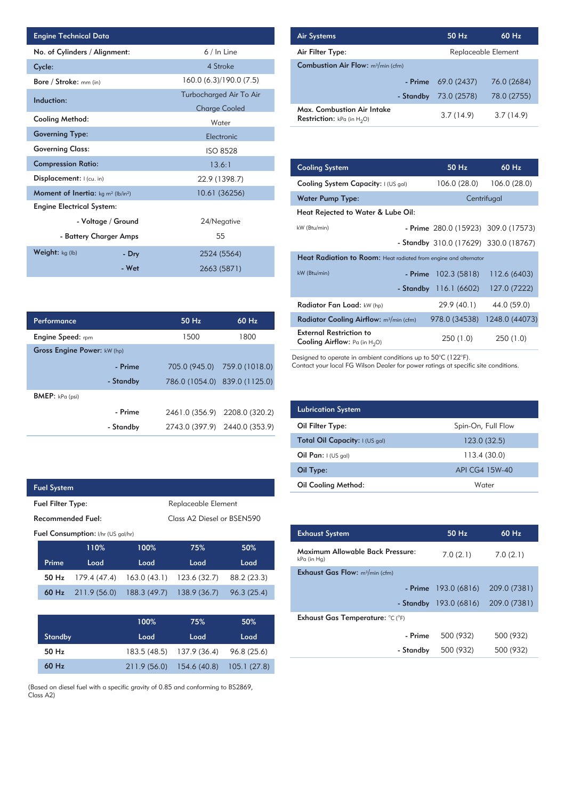| <b>Engine Technical Data</b>                                |                    |                         | <b>Air Systems</b>  |
|-------------------------------------------------------------|--------------------|-------------------------|---------------------|
| No. of Cylinders / Alignment:                               |                    | 6 / In Line             | Air Filter Ty       |
| Cycle:                                                      |                    | 4 Stroke                | <b>Combustion</b>   |
| Bore / Stroke: $mm$ (in)                                    |                    | 160.0 (6.3)/190.0 (7.5) |                     |
| Induction:                                                  |                    | Turbocharged Air To Air |                     |
|                                                             |                    | <b>Charge Cooled</b>    | Max. Comb           |
| Cooling Method:                                             |                    | Water                   | <b>Restriction:</b> |
| <b>Governing Type:</b>                                      |                    | Electronic              |                     |
| <b>Governing Class:</b>                                     |                    | <b>ISO 8528</b>         |                     |
| <b>Compression Ratio:</b>                                   |                    | 13.6:1                  | <b>Cooling Sys</b>  |
| Displacement:  (cu. in)                                     |                    | 22.9 (1398.7)           | <b>Cooling Sys</b>  |
| <b>Moment of Inertia:</b> $kg \, m^2$ (lb/in <sup>2</sup> ) |                    | 10.61 (36256)           | <b>Water Pum</b>    |
| <b>Engine Electrical System:</b>                            |                    |                         |                     |
|                                                             | - Voltage / Ground | 24/Negative             | <b>Heat Reject</b>  |
|                                                             |                    |                         | kW (Btu/min)        |
| - Battery Charger Amps                                      |                    | 55                      |                     |
| Weight: $kg (lb)$                                           | - Dry              | 2524 (5564)             | <b>Heat Radia</b>   |
|                                                             | - Wet              | 2663 (5871)             | kW (Btu/min)        |

| <b>Air Systems</b>                                                      | 50 Hz       | 60 Hz               |
|-------------------------------------------------------------------------|-------------|---------------------|
| Air Filter Type:                                                        |             | Replaceable Element |
| <b>Combustion Air Flow:</b> m <sup>3</sup> /min (cfm)                   |             |                     |
| - Prime                                                                 | 69.0 (2437) | 76.0 (2684)         |
| - Standby                                                               | 73.0 (2578) | 78.0 (2755)         |
| Max. Combustion Air Intake<br>$\mathsf{Restriction}: kPa$ (in $H_n()$ ) | 3.7(14.9)   | 3.7(14.9)           |

**Restriction:** kPa (in  $H_2O$ )

| 13.6:1        |       | <b>Cooling System</b>                                                     |           | 50 Hz                                 | $60$ Hz        |
|---------------|-------|---------------------------------------------------------------------------|-----------|---------------------------------------|----------------|
| 22.9 (1398.7) |       | Cooling System Capacity: I (US gal)                                       |           | 106.0 (28.0)                          | 106.0 (28.0)   |
| 10.61 (36256) |       | <b>Water Pump Type:</b>                                                   |           |                                       | Centrifugal    |
|               |       | Heat Rejected to Water & Lube Oil:                                        |           |                                       |                |
| 24/Negative   |       | kW (Btu/min)                                                              |           | - Prime 280.0 (15923) 309.0 (17573)   |                |
| 55            |       |                                                                           |           | - Standby 310.0 (17629) 330.0 (18767) |                |
| 2524 (5564)   |       | <b>Heat Radiation to Room:</b> Heat radiated from engine and alternator   |           |                                       |                |
| 2663 (5871)   |       | kW (Btu/min)                                                              | - Prime   | 102.3(5818)                           | 112.6 (6403)   |
|               |       |                                                                           | - Standby | 116.1(6602)                           | 127.0 (7222)   |
|               |       | Radiator Fan Load: kW (hp)                                                |           | 29.9 (40.1)                           | 44.0 (59.0)    |
| 50 Hz         | 60 Hz | Radiator Cooling Airflow: m <sup>3</sup> /min (cfm)                       |           | 978.0 (34538)                         | 1248.0 (44073) |
| 1500          | 1800  | <b>External Restriction to</b><br><b>Cooling Airflow:</b> Pa (in $H_2O$ ) |           | 250(1.0)                              | 250(1.0)       |

Designed to operate in ambient conditions up to 50°C (122°F).

Contact your local FG Wilson Dealer for power ratings at specific site conditions.

| <b>Lubrication System</b>      |                    |
|--------------------------------|--------------------|
| Oil Filter Type:               | Spin-On, Full Flow |
| Total Oil Capacity: I (US gal) | 123.0(32.5)        |
| Oil Pan: $I (US gal)$          | 113.4(30.0)        |
| Oil Type:                      | API CG4 15W-40     |
| Oil Cooling Method:            | Water              |

| <b>Exhaust System</b>                           | 50 Hz                   | $60$ Hz      |
|-------------------------------------------------|-------------------------|--------------|
| Maximum Allowable Back Pressure:<br>kPa (in Hg) | 7.0(2.1)                | 7.0(2.1)     |
| <b>Exhaust Gas Flow:</b> $m^3/m$ in (cfm)       |                         |              |
| - Prime                                         | 193.0 (6816)            | 209.0 (7381) |
|                                                 | - Standby $193.0(6816)$ | 209.0 (7381) |
| Exhaust Gas Temperature: °C (°F)                |                         |              |
| - Prime                                         | 500 (932)               | 500 (932)    |
| - Standby                                       | 500 (932)               | 500 (932)    |
|                                                 |                         |              |

| Performance                        |           | 50 Hz | 60 Hz                         |
|------------------------------------|-----------|-------|-------------------------------|
| <b>Engine Speed:</b> rpm           |           | 1500  | 1800                          |
| <b>Gross Engine Power: kW (hp)</b> |           |       |                               |
|                                    | - Prime   |       | 705.0 (945.0) 759.0 (1018.0)  |
|                                    | - Standby |       | 786.0 (1054.0) 839.0 (1125.0) |
| <b>BMEP:</b> $kPa$ (psi)           |           |       |                               |
|                                    | - Prime   |       | 2461.0 (356.9) 2208.0 (320.2) |
|                                    | - Standby |       | 2743.0 (397.9) 2440.0 (353.9) |
|                                    |           |       |                               |

| <b>Fuel System</b>       |                                           |              |                            |             |
|--------------------------|-------------------------------------------|--------------|----------------------------|-------------|
| <b>Fuel Filter Type:</b> |                                           |              | Replaceable Element        |             |
|                          | Recommended Fuel:                         |              | Class A2 Diesel or BSEN590 |             |
|                          | <b>Fuel Consumption:</b> I/hr (US gal/hr) |              |                            |             |
|                          | 110%                                      | 100%         | 75%                        | 50%         |
| Prime                    | Load                                      | Load         | Load                       | Load        |
| 50 Hz                    | 179.4 (47.4)                              | 163.0(43.1)  | 123.6 (32.7)               | 88.2 (23.3) |
| 60 Hz                    | 211.9(56.0)                               | 188.3 (49.7) | 138.9(36.7)                | 96.3(25.4)  |
|                          |                                           |              |                            |             |

I

|                | 100%        | 75%                       | 50%         |
|----------------|-------------|---------------------------|-------------|
| <b>Standby</b> | Load        | Load                      | Load        |
| $50$ Hz        |             | 183.5 (48.5) 137.9 (36.4) | 96.8 (25.6) |
| $60$ Hz        | 211.9(56.0) | 154.6(40.8) 105.1(27.8)   |             |

(Based on diesel fuel with a specific gravity of 0.85 and conforming to BS2869, Class A2)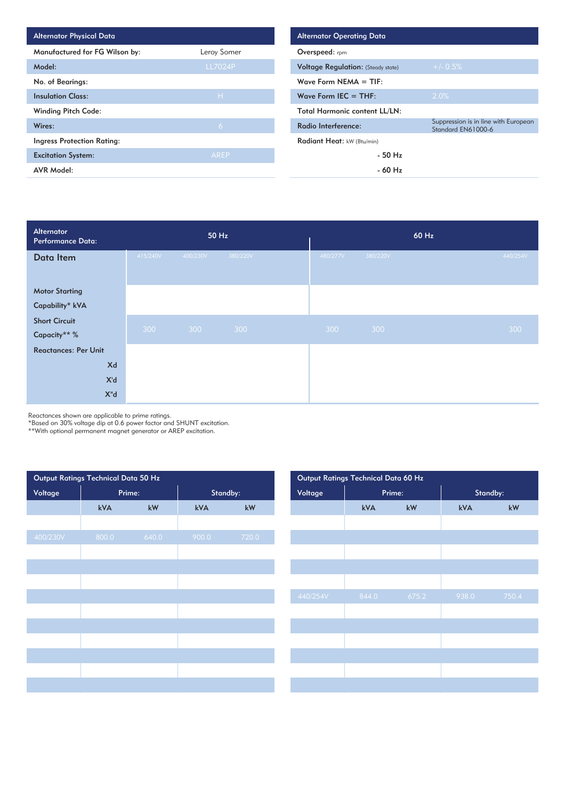| <b>Alternator Physical Data</b>   |                |
|-----------------------------------|----------------|
| Manufactured for FG Wilson by:    | Leroy Somer    |
| Model:                            | <b>LL7024P</b> |
| No. of Bearings:                  |                |
| <b>Insulation Class:</b>          | H              |
| <b>Winding Pitch Code:</b>        |                |
| Wires:                            | 6              |
| <b>Ingress Protection Rating:</b> |                |
| <b>Excitation System:</b>         | <b>AREP</b>    |
| <b>AVR Model:</b>                 |                |

| Alternator<br><b>Performance Data:</b> |          | 50 Hz    |          | 60 Hz    |          |          |  |  |
|----------------------------------------|----------|----------|----------|----------|----------|----------|--|--|
| Data Item                              | 415/240V | 400/230V | 380/220V | 480/277V | 380/220V | 440/254V |  |  |
|                                        |          |          |          |          |          |          |  |  |
| <b>Motor Starting</b>                  |          |          |          |          |          |          |  |  |
| Capability* kVA                        |          |          |          |          |          |          |  |  |
| <b>Short Circuit</b>                   |          |          |          |          |          |          |  |  |
| Capacity** %                           | 300      | 300      | 300      | 300      | 300      | 300      |  |  |
| <b>Reactances: Per Unit</b>            |          |          |          |          |          |          |  |  |
| Xd                                     |          |          |          |          |          |          |  |  |
| X'd                                    |          |          |          |          |          |          |  |  |
| $X^{\prime\prime}d$                    |          |          |          |          |          |          |  |  |

Reactances shown are applicable to prime ratings.

\*Based on 30% voltage dip at 0.6 power factor and SHUNT excitation.

\*\*With optional permanent magnet generator or AREP excitation.

| Output Ratings Technical Data 50 Hz |        |       |          | Output Ratings Technical Data 60 Hz |          |       |        |          |
|-------------------------------------|--------|-------|----------|-------------------------------------|----------|-------|--------|----------|
| Voltage                             | Prime: |       | Standby: |                                     | Voltage  |       | Prime: | Standby: |
|                                     | kVA    | kW    | kVA      | kW                                  |          | kVA   | kW     | kVA      |
|                                     |        |       |          |                                     |          |       |        |          |
| 400/230V                            | 800.0  | 640.0 | 900.0    | 720.0                               |          |       |        |          |
|                                     |        |       |          |                                     |          |       |        |          |
|                                     |        |       |          |                                     |          |       |        |          |
|                                     |        |       |          |                                     |          |       |        |          |
|                                     |        |       |          |                                     | 440/254V | 844.0 | 675.2  | 938.0    |
|                                     |        |       |          |                                     |          |       |        |          |
|                                     |        |       |          |                                     |          |       |        |          |
|                                     |        |       |          |                                     |          |       |        |          |
|                                     |        |       |          |                                     |          |       |        |          |
|                                     |        |       |          |                                     |          |       |        |          |
|                                     |        |       |          |                                     |          |       |        |          |